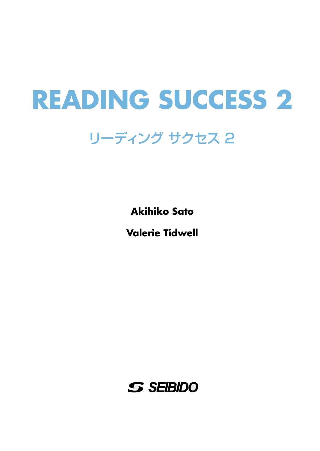## **READING SUCCESS 2**

## リーディング サクセス 2

**Akihiko Sato**

**Valerie Tidwell**

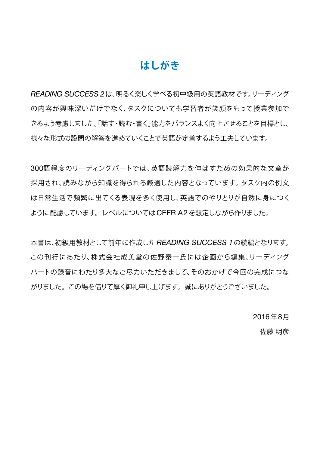#### **はしがき**

*READING SUCCESS 2*は、明るく楽しく学べる初中級用の英語教材です。リーディング の内容が興味深いだけでなく、タスクについても学習者が笑顔をもって授業参加で きるよう考慮しました。「話す・読む・書く」能力をバランスよく向上させることを目標とし、 様々な形式の設問の解答を進めていくことで英語が定着するよう工夫しています。

300語程度のリーディングパートでは、英語読解力を伸ばすための効果的な文章が 採用され、読みながら知識を得られる厳選した内容となっています。タスク内の例文 は日常生活で頻繁に出てくる表現を多く使用し、英語でのやりとりが自然に身につく ように配慮しています。レベルについてはCEFR A2 を想定しながら作りました。

本書は、初級用教材として前年に作成した *READING SUCCESS 1*の続編となります。 この刊行にあたり、株式会社成美堂の佐野泰一氏には企画から編集、リーディング パートの録音にわたり多大なご尽力いただきまして、そのおかげで今回の完成につな がりました。この場を借りて厚く御礼申し上げます。誠にありがとうございました。

2016年8月

佐藤 明彦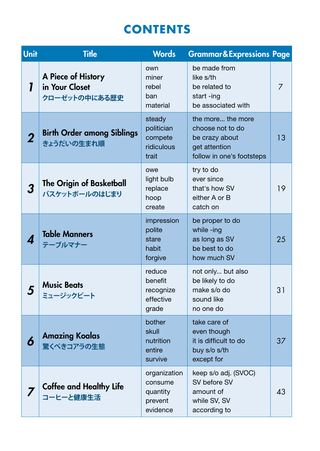### **CONTENTS**

| <b>Unit</b> | <b>Title</b>                                          | <b>Words</b>                                               | <b>Grammar&amp;Expressions Page</b>                                                                   |    |
|-------------|-------------------------------------------------------|------------------------------------------------------------|-------------------------------------------------------------------------------------------------------|----|
|             | A Piece of History<br>in Your Closet<br>クローゼットの中にある歴史 | own<br>miner<br>rebel<br>ban<br>material                   | be made from<br>like s/th<br>be related to<br>start-ing<br>be associated with                         | 7  |
| 2           | <b>Birth Order among Siblings</b><br>きょうだいの生まれ順       | steady<br>politician<br>compete<br>ridiculous<br>trait     | the more the more<br>choose not to do<br>be crazy about<br>get attention<br>follow in one's footsteps | 13 |
| 3           | <b>The Origin of Basketball</b><br>バスケットボールのはじまり      | owe<br>light bulb<br>replace<br>hoop<br>create             | try to do<br>ever since<br>that's how SV<br>either A or B<br>catch on                                 | 19 |
| 4           | <b>Table Manners</b><br>テーブルマナー                       | impression<br>polite<br>stare<br>habit<br>forgive          | be proper to do<br>while -ing<br>as long as SV<br>be best to do<br>how much SV                        | 25 |
| 5           | <b>Music Beats</b><br>ミュージックビート                       | reduce<br>benefit<br>recognize<br>effective<br>grade       | not only but also<br>be likely to do<br>make s/o do<br>sound like<br>no one do                        | 31 |
| 6           | <b>Amazing Koalas</b><br>驚くべきコアラの生態                   | bother<br>skull<br>nutrition<br>entire<br>survive          | take care of<br>even though<br>it is difficult to do<br>buy s/o s/th<br>except for                    | 37 |
|             | <b>Coffee and Healthy Life</b><br>コーヒーと健康生活           | organization<br>consume<br>quantity<br>prevent<br>evidence | keep s/o adj. (SVOC)<br>SV before SV<br>amount of<br>while SV, SV<br>according to                     | 43 |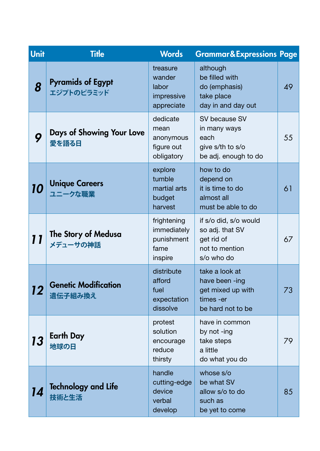| Unit | <b>Title</b>                           | <b>Words</b>                                                | <b>Grammar&amp;Expressions Page</b>                                                     |    |
|------|----------------------------------------|-------------------------------------------------------------|-----------------------------------------------------------------------------------------|----|
| 8    | <b>Pyramids of Egypt</b><br>エジプトのピラミッド | treasure<br>wander<br>labor<br>impressive<br>appreciate     | although<br>be filled with<br>do (emphasis)<br>take place<br>day in and day out         | 49 |
| 9    | Days of Showing Your Love<br>愛を語る日     | dedicate<br>mean<br>anonymous<br>figure out<br>obligatory   | SV because SV<br>in many ways<br>each<br>give s/th to s/o<br>be adj. enough to do       | 55 |
| 10   | <b>Unique Careers</b><br>ユニークな職業       | explore<br>tumble<br>martial arts<br>budget<br>harvest      | how to do<br>depend on<br>it is time to do<br>almost all<br>must be able to do          | 61 |
| 11   | The Story of Medusa<br>メデューサの神話        | frightening<br>immediately<br>punishment<br>fame<br>inspire | if s/o did, s/o would<br>so adj. that SV<br>get rid of<br>not to mention<br>s/o who do  | 67 |
| 12   | <b>Genetic Modification</b><br>遺伝子組み換え | distribute<br>afford<br>fuel<br>expectation<br>dissolve     | take a look at<br>have been -ing<br>get mixed up with<br>times -er<br>be hard not to be | 73 |
| 13   | <b>Earth Day</b><br>地球の日               | protest<br>solution<br>encourage<br>reduce<br>thirsty       | have in common<br>by not -ing<br>take steps<br>a little<br>do what you do               | 79 |
| 14   | <b>Technology and Life</b><br>技術と生活    | handle<br>cutting-edge<br>device<br>verbal<br>develop       | whose s/o<br>be what SV<br>allow s/o to do<br>such as<br>be yet to come                 | 85 |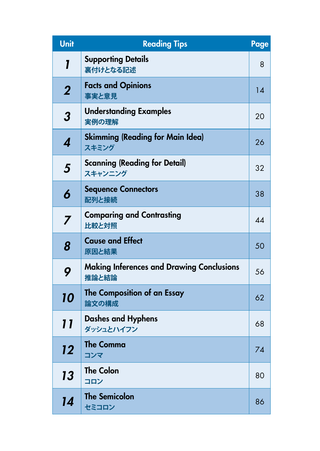| <b>Unit</b>      | <b>Reading Tips</b>                                       | Page |  |
|------------------|-----------------------------------------------------------|------|--|
| 1                | <b>Supporting Details</b><br>裏付けとなる記述                     |      |  |
| $\boldsymbol{2}$ | <b>Facts and Opinions</b><br>事実と意見                        |      |  |
| 3                | <b>Understanding Examples</b><br>実例の理解                    | 20   |  |
| 4                | <b>Skimming (Reading for Main Idea)</b><br>スキミング          |      |  |
| 5                | <b>Scanning (Reading for Detail)</b><br>スキャンニング           | 32   |  |
| 6                | <b>Sequence Connectors</b><br>配列と接続                       | 38   |  |
| 7                | <b>Comparing and Contrasting</b><br>比較と対照                 |      |  |
| 8                | <b>Cause and Effect</b><br>原因と結果                          | 50   |  |
| 9                | <b>Making Inferences and Drawing Conclusions</b><br>推論と結論 | 56   |  |
| 10               | The Composition of an Essay<br>論文の構成                      | 62   |  |
| 11               | <b>Dashes and Hyphens</b><br>ダッシュとハイフン                    | 68   |  |
| 12               | <b>The Comma</b><br>コンマ                                   | 74   |  |
| 13               | <b>The Colon</b><br>コロン                                   | 80   |  |
| 14               | <b>The Semicolon</b><br>セミコロン                             | 86   |  |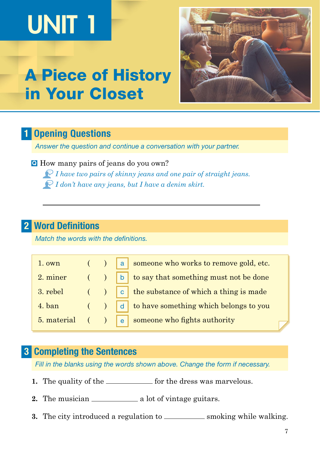# UNIT 1

## A Piece of History in Your Closet



#### **Opening Questions** 1

*Answer the question and continue a conversation with your partner.* 

 How many pairs of jeans do you own? Q *I have two pairs of skinny jeans and one pair of straight jeans. I don't have any jeans, but I have a denim skirt.*

#### Word Definitions 2

*Match the words with the definitions.*

| 1. own |  | $\left( \begin{array}{c} \begin{array}{c} \end{array} \end{array} \right)$ a someone who works to remove gold, etc. |
|--------|--|---------------------------------------------------------------------------------------------------------------------|
|        |  | 2. miner $( )$ $\boxed{b}$ to say that something must not be done                                                   |
|        |  | 3. rebel $\left( \n\right)$ $\left[ c \right]$ the substance of which a thing is made                               |
| 4. ban |  | $($ $)$ $ $ d $ $ to have something which belongs to you                                                            |
|        |  | 5. material $($ $)$ $e$ someone who fights authority                                                                |

#### **3 Completing the Sentences**

*Fill in the blanks using the words shown above. Change the form if necessary.*

- **1.** The quality of the <u>section of</u> for the dress was marvelous.
- **2.** The musician <u>a lot</u> of vintage guitars.
- **3.** The city introduced a regulation to \_\_\_\_\_\_\_\_\_\_\_\_ smoking while walking.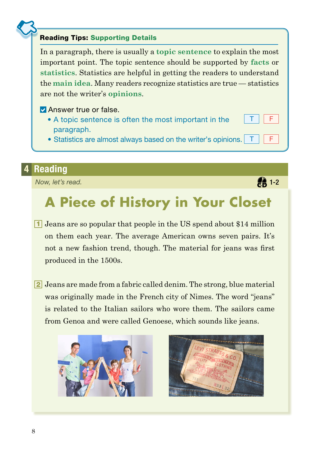#### Reading Tips: Supporting Details

In a paragraph, there is usually a **topic sentence** to explain the most important point. The topic sentence should be supported by **facts** or **statistics**. Statistics are helpful in getting the readers to understand the **main idea**. Many readers recognize statistics are true — statistics are not the writer's **opinions**.

- **Z** Answer true or false.
	- A topic sentence is often the most important in the paragraph.
	- Statistics are almost always based on the writer's opinions.

#### **Reading**

*Now, let's read.*

## **A Piece of History in Your Closet**

- **1** Jeans are so popular that people in the US spend about \$14 million on them each year. The average American owns seven pairs. It's not a new fashion trend, though. The material for jeans was first produced in the 1500s.
- 2 Jeans are made from a fabric called denim. The strong, blue material was originally made in the French city of Nimes. The word "jeans" is related to the Italian sailors who wore them. The sailors came from Genoa and were called Genoese, which sounds like jeans.





**2** 1-2

 $\mathsf F$ 

T || F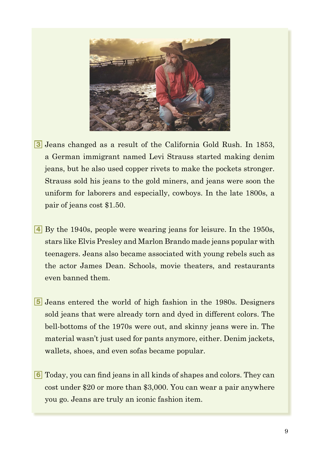

- 3 Jeans changed as a result of the California Gold Rush. In 1853, a German immigrant named Levi Strauss started making denim jeans, but he also used copper rivets to make the pockets stronger. Strauss sold his jeans to the gold miners, and jeans were soon the uniform for laborers and especially, cowboys. In the late 1800s, a pair of jeans cost \$1.50.
- By the 1940s, people were wearing jeans for leisure. In the 1950s, 4 stars like Elvis Presley and Marlon Brando made jeans popular with teenagers. Jeans also became associated with young rebels such as the actor James Dean. Schools, movie theaters, and restaurants even banned them.
- 5 Jeans entered the world of high fashion in the 1980s. Designers sold jeans that were already torn and dyed in different colors. The bell-bottoms of the 1970s were out, and skinny jeans were in. The material wasn't just used for pants anymore, either. Denim jackets, wallets, shoes, and even sofas became popular.
- Today, you can find jeans in all kinds of shapes and colors. They can 6cost under \$20 or more than \$3,000. You can wear a pair anywhere you go. Jeans are truly an iconic fashion item.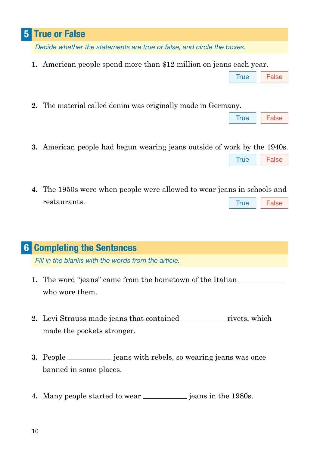#### True or False 5

*Decide whether the statements are true or false, and circle the boxes.*

- **1.** American people spend more than \$12 million on jeans each year.
- **2.** The material called denim was originally made in Germany.
- **3.** American people had begun wearing jeans outside of work by the 1940s.
- **4.** The 1950s were when people were allowed to wear jeans in schools and restaurants. True False

#### **6 Completing the Sentences**

*Fill in the blanks with the words from the article.*

- **1.** The word "jeans" came from the hometown of the Italian who wore them.
- **2.** Levi Strauss made jeans that contained <u>rivets</u>, which made the pockets stronger.
- **3.** People <u>exameles is equivalent</u> in rebels, so wearing jeans was once banned in some places.
- **4.** Many people started to wear <u>equal</u> jeans in the 1980s.

True || False

True || False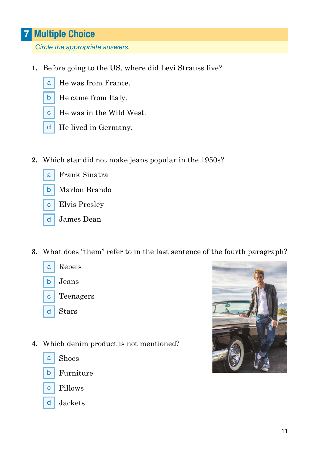### **7** Multiple Choice

*Circle the appropriate answers.*

- **1.** Before going to the US, where did Levi Strauss live?
	- a He was from France.
	- $\mathsf{b}$ He came from Italy.
	- c He was in the Wild West.
	- d He lived in Germany.
- **2.** Which star did not make jeans popular in the 1950s?
	- a Frank Sinatra
	- $\mathsf{b}$ Marlon Brando
	- c I Elvis Presley
	- d I James Dean
- **3.** What does "them" refer to in the last sentence of the fourth paragraph?



**4.** Which denim product is not mentioned?



Shoes





d | Jackets